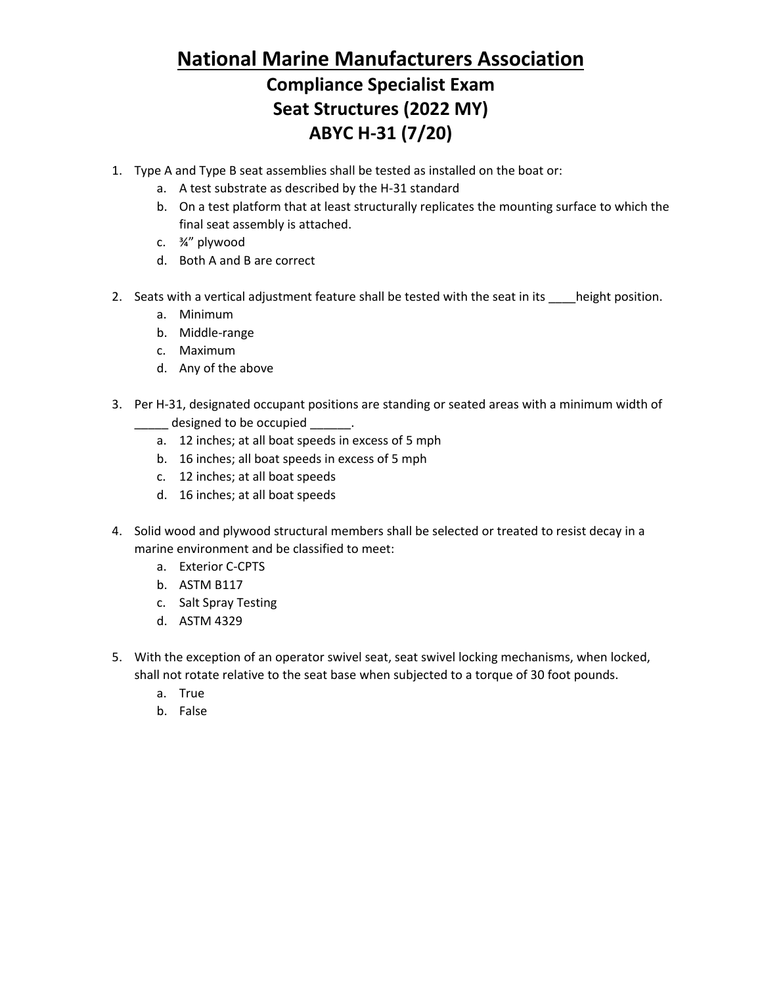## **National Marine Manufacturers Association**

## **Compliance Specialist Exam Seat Structures (2022 MY) ABYC H-31 (7/20)**

- 1. Type A and Type B seat assemblies shall be tested as installed on the boat or:
	- a. A test substrate as described by the H-31 standard
	- b. On a test platform that at least structurally replicates the mounting surface to which the final seat assembly is attached.
	- c. ¾" plywood
	- d. Both A and B are correct
- 2. Seats with a vertical adjustment feature shall be tested with the seat in its \_\_\_\_height position.
	- a. Minimum
	- b. Middle-range
	- c. Maximum
	- d. Any of the above
- 3. Per H-31, designated occupant positions are standing or seated areas with a minimum width of Loose designed to be occupied Loose
	- a. 12 inches; at all boat speeds in excess of 5 mph
	- b. 16 inches; all boat speeds in excess of 5 mph
	- c. 12 inches; at all boat speeds
	- d. 16 inches; at all boat speeds
- 4. Solid wood and plywood structural members shall be selected or treated to resist decay in a marine environment and be classified to meet:
	- a. Exterior C-CPTS
	- b. ASTM B117
	- c. Salt Spray Testing
	- d. ASTM 4329
- 5. With the exception of an operator swivel seat, seat swivel locking mechanisms, when locked, shall not rotate relative to the seat base when subjected to a torque of 30 foot pounds.
	- a. True
	- b. False